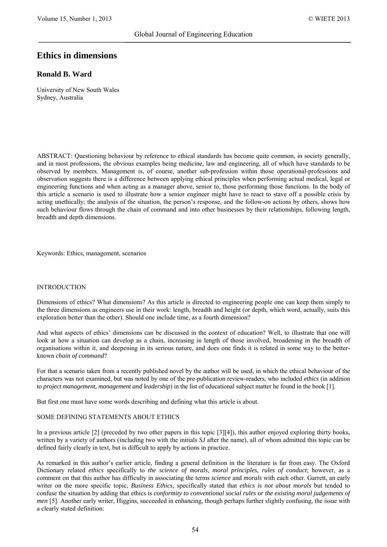# **Ethics in dimensions**

# **Ronald B. Ward**

University of New South Wales Sydney, Australia

ABSTRACT: Questioning behaviour by reference to ethical standards has become quite common, in society generally, and in most professions, the obvious examples being medicine, law and engineering, all of which have standards to be observed by members. Management is, of course, another sub-profession within those operational-professions and observation suggests there is a difference between applying ethical principles when performing actual medical, legal or engineering functions and when acting as a manager above, senior to, those performing those functions. In the body of this article a scenario is used to illustrate how a senior engineer might have to react to stave off a possible crisis by acting unethically; the analysis of the situation, the person's response, and the follow-on actions by others, shows how such behaviour flows through the chain of command and into other businesses by their relationships, following length, breadth and depth dimensions.

Keywords: Ethics, management, scenarios

#### INTRODUCTION

Dimensions of ethics? What dimensions? As this article is directed to engineering people one can keep them simply to the three dimensions as engineers use in their work: length, breadth and height (or depth, which word, actually, suits this exploration better than the other). Should one include time, as a fourth dimension?

And what aspects of ethics' dimensions can be discussed in the context of education? Well, to illustrate that one will look at how a situation can develop as a chain, increasing in length of those involved, broadening in the breadth of organisations within it, and deepening in its serious nature, and does one finds it is related in some way to the betterknown *chain of command*?

For that a scenario taken from a recently published novel by the author will be used, in which the ethical behaviour of the characters was not examined, but was noted by one of the pre-publication review-readers, who included *ethics* (in addition to *project management, management and leadership*) in the list of educational subject matter he found in the book [1].

But first one must have some words describing and defining what this article is about.

#### SOME DEFINING STATEMENTS ABOUT ETHICS

In a previous article [2] (preceded by two other papers in this topic [3][4]), this author enjoyed exploring thirty books, written by a variety of authors (including two with the initials *SJ* after the name), all of whom admitted this topic can be defined fairly clearly in text, but is difficult to apply by actions in practice.

As remarked in this author's earlier article, finding a general definition in the literature is far from easy. The Oxford Dictionary related *ethics* specifically to *the science of morals, moral principles, rules of conduct*; however, as a comment on that this author has difficulty in associating the terms *science* and *morals* with each other. Garrett, an early writer on the more specific topic, *Business Ethics*, specifically stated that *ethics is not about morals* but tended to confuse the situation by adding that ethics is *conformity to conventional social rules or the existing moral judgements of men* [5]. Another early writer, Higgins, succeeded in enhancing, though perhaps further slightly confusing, the issue with a clearly stated definition: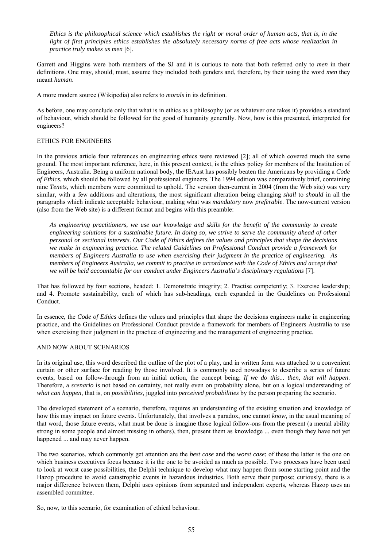*Ethics is the philosophical science which establishes the right or moral order of human acts, that is, in the light of first principles ethics establishes the absolutely necessary norms of free acts whose realization in practice truly makes us men* [6].

Garrett and Higgins were both members of the SJ and it is curious to note that both referred only to *men* in their definitions. One may, should, must, assume they included both genders and, therefore, by their using the word *men* they meant *human*.

A more modern source (Wikipedia) also refers to *morals* in its definition.

As before, one may conclude only that what is in ethics as a philosophy (or as whatever one takes it) provides a standard of behaviour, which should be followed for the good of humanity generally. Now, how is this presented, interpreted for engineers?

#### ETHICS FOR ENGINEERS

In the previous article four references on engineering ethics were reviewed [2]; all of which covered much the same ground. The most important reference, here, in this present context, is the ethics policy for members of the Institution of Engineers, Australia. Being a uniform national body, the IEAust has possibly beaten the Americans by providing a *Code of Ethics*, which should be followed by all professional engineers. The 1994 edition was comparatively brief, containing nine *Tenets*, which members were committed to uphold. The version then-current in 2004 (from the Web site) was very similar, with a few additions and alterations, the most significant alteration being changing *shall* to *should* in all the paragraphs which indicate acceptable behaviour, making what was *mandatory* now *preferable*. The now-current version (also from the Web site) is a different format and begins with this preamble:

*As engineering practitioners, we use our knowledge and skills for the benefit of the community to create engineering solutions for a sustainable future. In doing so, we strive to serve the community ahead of other personal or sectional interests. Our Code of Ethics defines the values and principles that shape the decisions we make in engineering practice. The related Guidelines on Professional Conduct provide a framework for members of Engineers Australia to use when exercising their judgment in the practice of engineering. As members of Engineers Australia, we commit to practise in accordance with the Code of Ethics and accept that we will be held accountable for our conduct under Engineers Australia's disciplinary regulations* [7].

That has followed by four sections, headed: 1. Demonstrate integrity; 2. Practise competently; 3. Exercise leadership; and 4. Promote sustainability, each of which has sub-headings, each expanded in the Guidelines on Professional Conduct.

In essence, the *Code of Ethics* defines the values and principles that shape the decisions engineers make in engineering practice, and the Guidelines on Professional Conduct provide a framework for members of Engineers Australia to use when exercising their judgment in the practice of engineering and the management of engineering practice.

#### AND NOW ABOUT SCENARIOS

In its original use, this word described the outline of the plot of a play, and in written form was attached to a convenient curtain or other surface for reading by those involved. It is commonly used nowadays to describe a series of future events, based on follow-through from an initial action, the concept being: *If we do this... then, that will happen*. Therefore, a *scenario* is not based on certainty, not really even on probability alone, but on a logical understanding of *what can happen*, that is, on *possibilities*, juggled into *perceived probabilities* by the person preparing the scenario.

The developed statement of a scenario, therefore, requires an understanding of the existing situation and knowledge of how this may impact on future events. Unfortunately, that involves a paradox, one cannot *know,* in the usual meaning of that word, those future events, what must be done is imagine those logical follow-ons from the present (a mental ability strong in some people and almost missing in others), then, present them as knowledge ... even though they have not yet happened ... and may never happen.

The two scenarios, which commonly get attention are the *best case* and the *worst case*; of these the latter is the one on which business executives focus because it is the one to be avoided as much as possible. Two processes have been used to look at worst case possibilities, the Delphi technique to develop what may happen from some starting point and the Hazop procedure to avoid catastrophic events in hazardous industries. Both serve their purpose; curiously, there is a major difference between them, Delphi uses opinions from separated and independent experts, whereas Hazop uses an assembled committee.

So, now, to this scenario, for examination of ethical behaviour.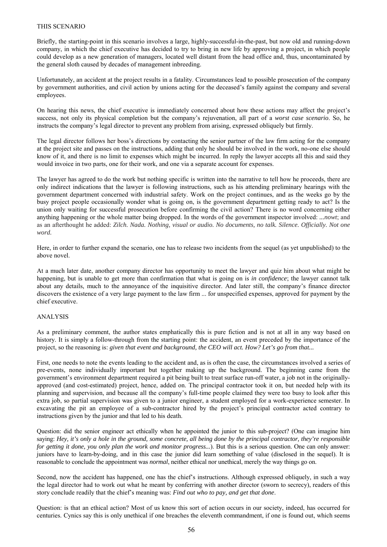#### THIS SCENARIO

Briefly, the starting-point in this scenario involves a large, highly-successful-in-the-past, but now old and running-down company, in which the chief executive has decided to try to bring in new life by approving a project, in which people could develop as a new generation of managers, located well distant from the head office and, thus, uncontaminated by the general sloth caused by decades of management inbreeding.

Unfortunately, an accident at the project results in a fatality. Circumstances lead to possible prosecution of the company by government authorities, and civil action by unions acting for the deceased's family against the company and several employees.

On hearing this news, the chief executive is immediately concerned about how these actions may affect the project's success, not only its physical completion but the company's rejuvenation, all part of a *worst case scenario*. So, he instructs the company's legal director to prevent any problem from arising, expressed obliquely but firmly.

The legal director follows her boss's directions by contacting the senior partner of the law firm acting for the company at the project site and passes on the instructions, adding that only he should be involved in the work, no-one else should know of it, and there is no limit to expenses which might be incurred. In reply the lawyer accepts all this and said they would invoice in two parts, one for their work, and one via a separate account for expenses.

The lawyer has agreed to do the work but nothing specific is written into the narrative to tell how he proceeds, there are only indirect indications that the lawyer is following instructions, such as his attending preliminary hearings with the government department concerned with industrial safety. Work on the project continues, and as the weeks go by the busy project people occasionally wonder what is going on, is the government department getting ready to act? Is the union only waiting for successful prosecution before confirming the civil action? There is no word concerning either anything happening or the whole matter being dropped. In the words of the government inspector involved: *...nowt*; and as an afterthought he added: *Zilch. Nada. Nothing, visual or audio. No documents, no talk. Silence. Officially. Not one word.*

Here, in order to further expand the scenario, one has to release two incidents from the sequel (as yet unpublished) to the above novel.

At a much later date, another company director has opportunity to meet the lawyer and quiz him about what might be happening, but is unable to get more than confirmation that what is going on is *in confidence*; the lawyer cannot talk about any details, much to the annoyance of the inquisitive director. And later still, the company's finance director discovers the existence of a very large payment to the law firm ... for unspecified expenses, approved for payment by the chief executive.

#### ANALYSIS

As a preliminary comment, the author states emphatically this is pure fiction and is not at all in any way based on history. It is simply a follow-through from the starting point: the accident, an event preceded by the importance of the project, so the reasoning is: *given that event and background, the CEO will act. How? Let's go from that...*

First, one needs to note the events leading to the accident and, as is often the case, the circumstances involved a series of pre-events, none individually important but together making up the background. The beginning came from the government's environment department required a pit being built to treat surface run-off water, a job not in the originallyapproved (and cost-estimated) project, hence, added on. The principal contractor took it on, but needed help with its planning and supervision, and because all the company's full-time people claimed they were too busy to look after this extra job, so partial supervision was given to a junior engineer, a student employed for a work-experience semester. In excavating the pit an employee of a sub-contractor hired by the project's principal contractor acted contrary to instructions given by the junior and that led to his death.

Question: did the senior engineer act ethically when he appointed the junior to this sub-project? (One can imagine him saying: *Hey, it's only a hole in the ground, some concrete, all being done by the principal contractor, they're responsible for getting it done, you only plan the work and monitor progress...*). But this is a serious question. One can only answer: juniors have to learn-by-doing, and in this case the junior did learn something of value (disclosed in the sequel). It is reasonable to conclude the appointment was *normal*, neither ethical nor unethical, merely the way things go on.

Second, now the accident has happened, one has the chief's instructions. Although expressed obliquely, in such a way the legal director had to work out what he meant by conferring with another director (sworn to secrecy), readers of this story conclude readily that the chief's meaning was: *Find out who to pay, and get that done*.

Question: is that an ethical action? Most of us know this sort of action occurs in our society, indeed, has occurred for centuries. Cynics say this is only unethical if one breaches the eleventh commandment, if one is found out, which seems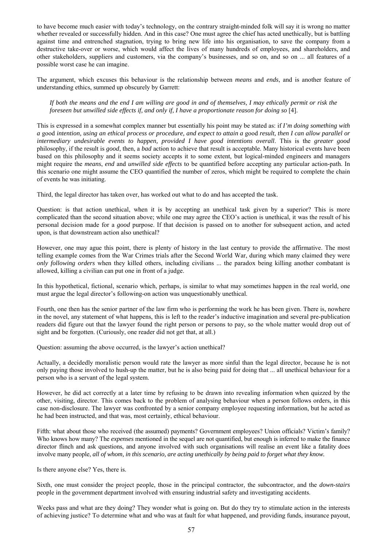to have become much easier with today's technology, on the contrary straight-minded folk will say it is wrong no matter whether revealed or successfully hidden. And in this case? One must agree the chief has acted unethically, but is battling against time and entrenched stagnation, trying to bring new life into his organisation, to save the company from a destructive take-over or worse, which would affect the lives of many hundreds of employees, and shareholders, and other stakeholders, suppliers and customers, via the company's businesses, and so on, and so on ... all features of a possible worst case he can imagine.

The argument, which excuses this behaviour is the relationship between *means* and *ends*, and is another feature of understanding ethics, summed up obscurely by Garrett:

*If both the means and the end I am willing are good in and of themselves, I may ethically permit or risk the foreseen but unwilled side effects if, and only if, I have a proportionate reason for doing so* [4].

This is expressed in a somewhat complex manner but essentially his point may be stated as: if *I'm doing something with a* good *intention, using an ethical process or procedure, and expect to attain a* good *result, then I can allow parallel or intermediary undesirable events to happen, provided I have good intentions overall*. This is the *greater good* philosophy, if the result is *good*, then, a *bad* action to achieve that result is acceptable. Many historical events have been based on this philosophy and it seems society accepts it to some extent, but logical-minded engineers and managers might require the *means*, *end* and *unwilled side effects* to be quantified before accepting any particular action-path. In this scenario one might assume the CEO quantified the number of zeros, which might be required to complete the chain of events he was initiating.

Third, the legal director has taken over, has worked out what to do and has accepted the task.

Question: is that action unethical, when it is by accepting an unethical task given by a superior? This is more complicated than the second situation above; while one may agree the CEO's action is unethical, it was the result of his personal decision made for a *good* purpose. If that decision is passed on to another for subsequent action, and acted upon, is that downstream action also unethical?

However, one may ague this point, there is plenty of history in the last century to provide the affirmative. The most telling example comes from the War Crimes trials after the Second World War, during which many claimed they were *only following orders* when they killed others, including civilians ... the paradox being killing another combatant is allowed, killing a civilian can put one in front of a judge.

In this hypothetical, fictional, scenario which, perhaps, is similar to what may sometimes happen in the real world, one must argue the legal director's following-on action was unquestionably unethical.

Fourth, one then has the senior partner of the law firm who is performing the work he has been given. There is, nowhere in the novel, any statement of what happens, this is left to the reader's inductive imagination and several pre-publication readers did figure out that the lawyer found the right person or persons to pay, so the whole matter would drop out of sight and be forgotten. (Curiously, one reader did not get that, at all.)

Question: assuming the above occurred, is the lawyer's action unethical?

Actually, a decidedly moralistic person would rate the lawyer as more sinful than the legal director, because he is not only paying those involved to hush-up the matter, but he is also being paid for doing that ... all unethical behaviour for a person who is a servant of the legal system.

However, he did act correctly at a later time by refusing to be drawn into revealing information when quizzed by the other, visiting, director. This comes back to the problem of analysing behaviour when a person follows orders, in this case non-disclosure. The lawyer was confronted by a senior company employee requesting information, but he acted as he had been instructed, and that was, most certainly, ethical behaviour.

Fifth: what about those who received (the assumed) payments? Government employees? Union officials? Victim's family? Who knows how many? The *expenses* mentioned in the sequel are not quantified, but enough is inferred to make the finance director flinch and ask questions, and anyone involved with such organisations will realise an event like a fatality does involve many people, *all of whom, in this scenario, are acting unethically by being paid to forget what they know.*

Is there anyone else? Yes, there is.

Sixth, one must consider the project people, those in the principal contractor, the subcontractor, and the *down-stairs* people in the government department involved with ensuring industrial safety and investigating accidents.

Weeks pass and what are they doing? They wonder what is going on. But do they try to stimulate action in the interests of achieving justice? To determine what and who was at fault for what happened, and providing funds, insurance payout,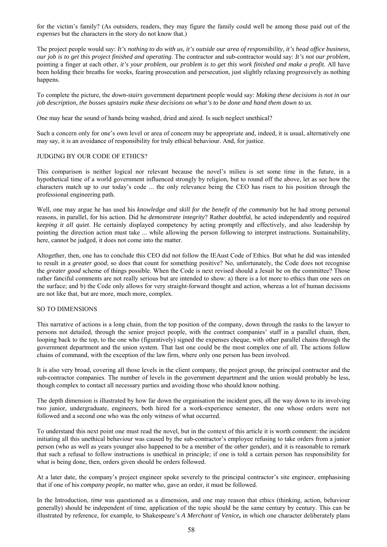for the victim's family? (As outsiders, readers, they may figure the family could well be among those paid out of the *expenses* but the characters in the story do not know that.)

The project people would say: *It's nothing to do with us, it's outside our area of responsibility, it's head office business, our job is to get this project finished and operating*. The contractor and sub-contractor would say: *It's not our problem*, pointing a finger at each other, *it's your problem,* our *problem is to get this work finished and make a profit.* All have been holding their breaths for weeks, fearing prosecution and persecution, just slightly relaxing progressively as nothing happens.

To complete the picture, the *down-stairs* government department people would say: *Making these decisions is not in our job description, the bosses upstairs make these decisions on what's to be done and hand them down to us*.

One may hear the sound of hands being washed, dried and aired. Is such neglect unethical?

Such a concern only for one's own level or area of concern may be appropriate and, indeed, it is usual, alternatively one may say, it is an avoidance of responsibility for truly ethical behaviour. And, for justice.

#### JUDGING BY OUR CODE OF ETHICS?

This comparison is neither logical nor relevant because the novel's milieu is set some time in the future, in a hypothetical time of a world government influenced strongly by religion, but to round off the above, let as see how the characters match up to our today's code ... the only relevance being the CEO has risen to his position through the professional engineering path.

Well, one may argue he has used his *knowledge and skill for the benefit of the community* but he had strong personal reasons, in parallel, for his action. Did he *demonstrate integrity*? Rather doubtful, he acted independently and required *keeping it all quiet*. He certainly displayed competency by acting promptly and effectively, and also leadership by pointing the direction action must take ... while allowing the person following to interpret instructions. Sustainability, here, cannot be judged, it does not come into the matter.

Altogether, then, one has to conclude this CEO did not follow the IEAust Code of Ethics. But what he did was intended to result in a *greater good*, so does that count for something positive? No, unfortunately, the Code does not recognise the *greater good* scheme of things possible. When the Code is next revised should a Jesuit be on the committee? Those rather fanciful comments are not really serious but are intended to show: a) there is a lot more to ethics than one sees on the surface; and b) the Code only allows for very straight-forward thought and action, whereas a lot of human decisions are not like that, but are more, much more, complex.

#### SO TO DIMENSIONS

This narrative of actions is a long chain, from the top position of the company, down through the ranks to the lawyer to persons not detailed, through the senior project people, with the contract companies' staff in a parallel chain, then, looping back to the top, to the one who (figuratively) signed the expenses cheque, with other parallel chains through the government department and the union system. That last one could be the most complex one of all. The actions follow chains of command, with the exception of the law firm, where only one person has been involved.

It is also very broad, covering all those levels in the client company, the project group, the principal contractor and the sub-contractor companies. The number of levels in the government department and the union would probably be less, though complex to contact all necessary parties and avoiding those who should know nothing.

The depth dimension is illustrated by how far down the organisation the incident goes, all the way down to its involving two junior, undergraduate, engineers, both hired for a work-experience semester, the one whose orders were not followed and a second one who was the only witness of what occurred.

To understand this next point one must read the novel, but in the context of this article it is worth comment: the incident initiating all this unethical behaviour was caused by the sub-contractor's employee refusing to take orders from a junior person (who as well as years younger also happened to be a member of the *other* gender), and it is reasonable to remark that such a refusal to follow instructions is unethical in principle; if one is told a certain person has responsibility for what is being done, then, orders given should be orders followed.

At a later date, the company's project engineer spoke severely to the principal contractor's site engineer, emphasising that if one of his *company people*, no matter who, gave an order, it must be followed.

In the Introduction, *time* was questioned as a dimension, and one may reason that ethics (thinking, action, behaviour generally) should be independent of time, application of the topic should be the same century by century. This can be illustrated by reference, for example, to Shakespeare's *A Merchant of Venice***,** in which one character deliberately plans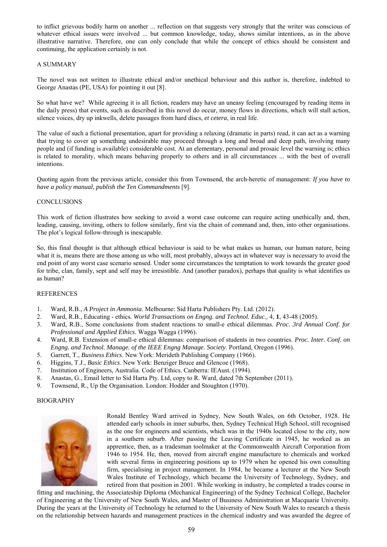to inflict grievous bodily harm on another ... reflection on that suggests very strongly that the writer was conscious of whatever ethical issues were involved ... but common knowledge, today, shows similar intentions, as in the above illustrative narrative. Therefore, one can only conclude that while the concept of ethics should be consistent and continuing, the application certainly is not.

## A SUMMARY

The novel was not written to illustrate ethical and/or unethical behaviour and this author is, therefore, indebted to George Anastas (PE, USA) for pointing it out [8].

So what have we? While agreeing it is all fiction, readers may have an uneasy feeling (encouraged by reading items in the daily press) that events, such as described in this novel do occur, money flows in directions, which will stall action, silence voices, dry up inkwells, delete passages from hard discs, *et cetera*, in real life.

The value of such a fictional presentation, apart for providing a relaxing (dramatic in parts) read, it can act as a warning that trying to cover up something undesirable may proceed through a long and broad and deep path, involving many people and (if funding is available) considerable cost. At an elementary, personal and prosaic level the warning is; ethics is related to morality, which means behaving properly to others and in all circumstances ... with the best of overall intentions.

Quoting again from the previous article, consider this from Townsend, the arch-heretic of management: *If you have to have a policy manual, publish the Ten Commandments* [9].

## **CONCLUSIONS**

This work of fiction illustrates how seeking to avoid a worst case outcome can require acting unethically and, then, leading, causing, inviting, others to follow similarly, first via the chain of command and, then, into other organisations. The plot's logical follow-through is inescapable.

So, this final thought is that although ethical behaviour is said to be what makes us human, our human nature, being what it is, means there are those among us who will, most probably, always act in whatever way is necessary to avoid the end point of any worst case scenario sensed. Under some circumstances the temptation to work towards the greater good for tribe, clan, family, sept and self may be irresistible. And (another paradox), perhaps that quality is what identifies us as human?

#### REFERENCES

- 1. Ward, R.B., *A Project in Ammonia.* Melbourne: Sid Harta Publishers Pty. Ltd. (2012).
- 2. Ward, R.B., Educating ethics*. World Transactions on Engng. and Technol. Educ.,* 4, **1**, 43-48 (2005).
- 3. Ward, R.B., Some conclusions from student reactions to small-e ethical dilemmas. *Proc. 3rd Annual Conf. for Professional and Applied Ethics*. Wagga Wagga (1996).
- 4. Ward, R.B. Extension of small-e ethical dilemmas: comparison of students in two countries. *Proc. Inter. Conf. on Engng. and Technol. Manage. of the IEEE Engng Manage. Society*. Portland, Oregon (1996).
- 5. Garrett, T., *Business Ethics*. New York: Merideth Publishing Company (1966).
- 6. Higgins, T.J., *Basic Ethics*. New York: Benziger Bruce and Glencoe (1968).
- 7. Institution of Engineers, Australia. Code of Ethics. Canberra: IEAust. (1994).
- 8. Anastas, G., Email letter to Sid Harta Pty. Ltd, copy to R. Ward, dated 7th September (2011).
- 9. Townsend, R., Up the Organisation. London: Hodder and Stoughton (1970).

#### BIOGRAPHY



Ronald Bentley Ward arrived in Sydney, New South Wales, on 6th October, 1928. He attended early schools in inner suburbs, then, Sydney Technical High School, still recognised as the one for engineers and scientists, which was in the 1940s located close to the city, now in a southern suburb. After passing the Leaving Certificate in 1945, he worked as an apprentice, then, as a tradesman toolmaker at the Commonwealth Aircraft Corporation from 1946 to 1954. He, then, moved from aircraft engine manufacture to chemicals and worked with several firms in engineering positions up to 1979 when he opened his own consulting firm, specialising in project management. In 1984, he became a lecturer at the New South Wales Institute of Technology, which became the University of Technology, Sydney, and retired from that position in 2001. While working in industry, he completed a trades course in

fitting and machining, the Associateship Diploma (Mechanical Engineering) of the Sydney Technical College, Bachelor of Engineering at the University of New South Wales, and Master of Business Administration at Macquarie University. During the years at the University of Technology he returned to the University of New South Wales to research a thesis on the relationship between hazards and management practices in the chemical industry and was awarded the degree of